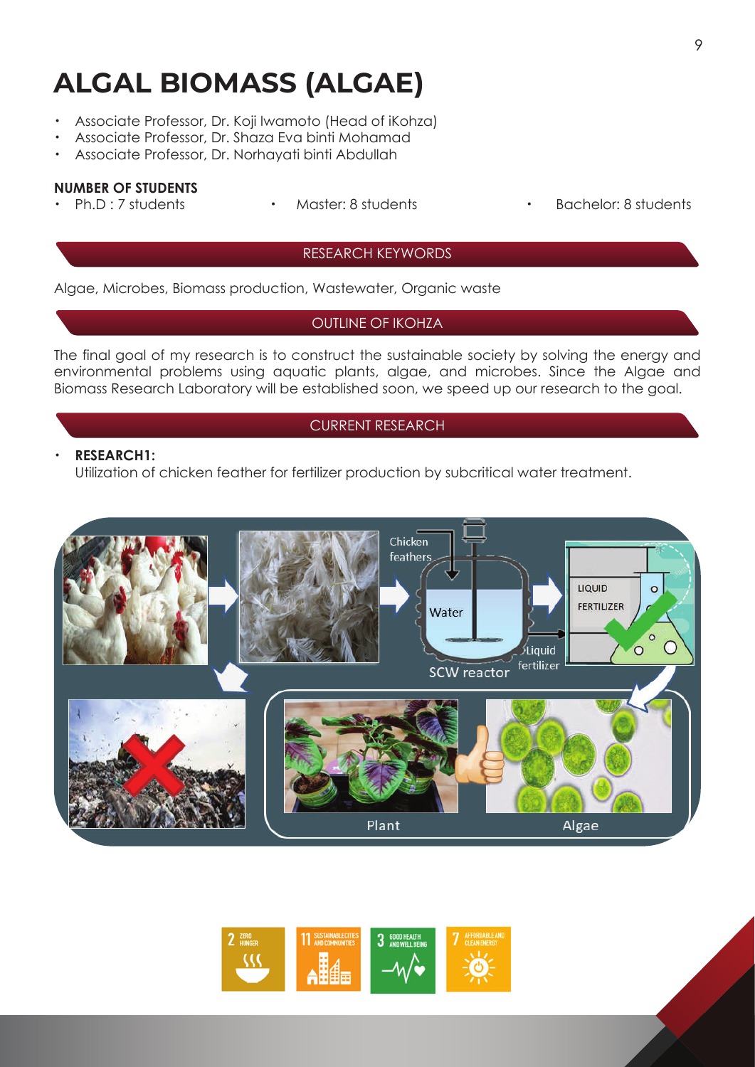# **ALGAL BIOMASS (ALGAE)**

- ・ Associate Professor, Dr. Koji Iwamoto (Head of iKohza)
- Associate Professor, Dr. Shaza Eva binti Mohamad
- ・ Associate Professor, Dr. Norhayati binti Abdullah

### **NUMBER OF STUDENTS**

 $\overline{a}$ 

Ph.D : 7 students • Master: 8 students • Bachelor: 8 students

#### RESEARCH KEYWORDS

Algae, Microbes, Biomass production, Wastewater, Organic waste

## OUTLINE OF IKOHZA

The final goal of my research is to construct the sustainable society by solving the energy and environmental problems using aquatic plants, algae, and microbes. Since the Algae and Biomass Research Laboratory will be established soon, we speed up our research to the goal.

## CURRENT RESEARCH

#### ・ **RESEARCH1:**

Utilization of chicken feather for fertilizer production by subcritical water treatment.